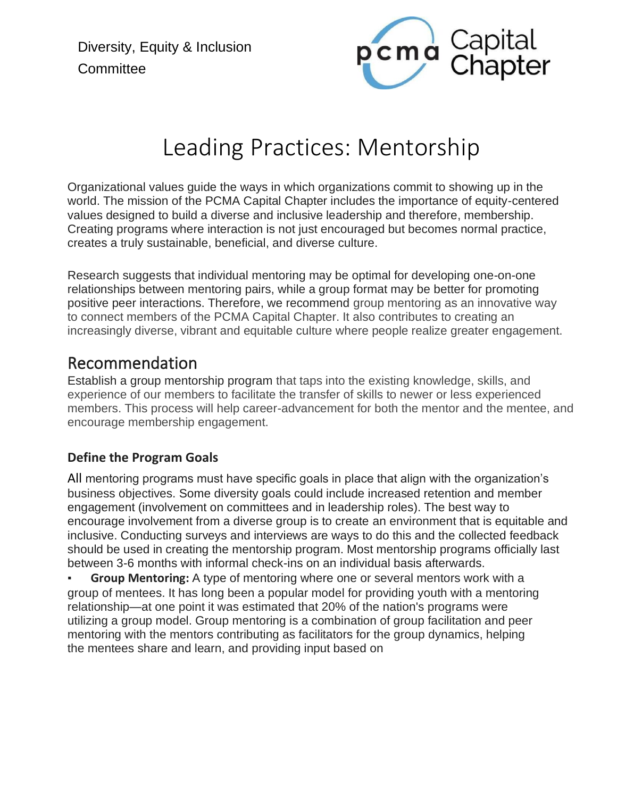Diversity, Equity & Inclusion **Committee** 



# Leading Practices: Mentorship

Organizational values guide the ways in which organizations commit to showing up in the world. The mission of the PCMA Capital Chapter includes the importance of equity-centered values designed to build a diverse and inclusive leadership and therefore, membership. Creating programs where interaction is not just encouraged but becomes normal practice, creates a truly sustainable, beneficial, and diverse culture.

Research suggests that individual mentoring may be optimal for developing one-on-one relationships between mentoring pairs, while a group format may be better for promoting positive peer interactions. Therefore, we recommend group mentoring as an innovative way to connect members of the PCMA Capital Chapter. It also contributes to creating an increasingly diverse, vibrant and equitable culture where people realize greater engagement.

## Recommendation

Establish a group mentorship program that taps into the existing knowledge, skills, and experience of our members to facilitate the transfer of skills to newer or less experienced members. This process will help career-advancement for both the mentor and the mentee, and encourage membership engagement.

#### **Define the Program Goals**

All mentoring programs must have specific goals in place that align with the organization's business objectives. Some diversity goals could include increased retention and member engagement (involvement on committees and in leadership roles). The best way to encourage involvement from a diverse group is to create an environment that is equitable and inclusive. Conducting surveys and interviews are ways to do this and the collected feedback should be used in creating the mentorship program. Most mentorship programs officially last between 3-6 months with informal check-ins on an individual basis afterwards.

**Group Mentoring:** A type of mentoring where one or several mentors work with a group of mentees. It has long been a popular model for providing youth with a mentoring relationship—at one point it was estimated that 20% of the nation's programs were utilizing a group model. Group mentoring is a combination of group facilitation and peer mentoring with the mentors contributing as facilitators for the group dynamics, helping the mentees share and learn, and providing input based on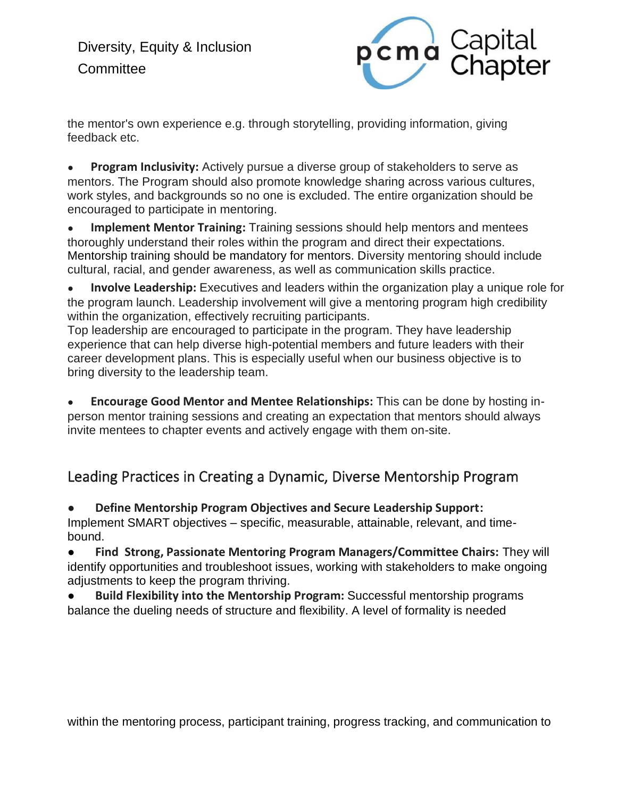

the mentor's own experience e.g. through storytelling, providing information, giving feedback etc.

**Program Inclusivity:** Actively pursue a diverse group of stakeholders to serve as mentors. The Program should also promote knowledge sharing across various cultures, work styles, and backgrounds so no one is excluded. The entire organization should be encouraged to participate in mentoring.

● **Implement Mentor Training:** Training sessions should help mentors and mentees thoroughly understand their roles within the program and direct their expectations. Mentorship training should be mandatory for mentors. Diversity mentoring should include cultural, racial, and gender awareness, as well as communication skills practice.

● **Involve Leadership:** Executives and leaders within the organization play a unique role for the program launch. Leadership involvement will give a mentoring program high credibility within the organization, effectively recruiting participants.

Top leadership are encouraged to participate in the program. They have leadership experience that can help diverse high-potential members and future leaders with their career development plans. This is especially useful when our business objective is to bring diversity to the leadership team.

**Encourage Good Mentor and Mentee Relationships:** This can be done by hosting inperson mentor training sessions and creating an expectation that mentors should always invite mentees to chapter events and actively engage with them on-site.

## Leading Practices in Creating a Dynamic, Diverse Mentorship Program

**Define Mentorship Program Objectives and Secure Leadership Support:** 

Implement SMART objectives – specific, measurable, attainable, relevant, and timebound.

● **Find Strong, Passionate Mentoring Program Managers/Committee Chairs:** They will identify opportunities and troubleshoot issues, working with stakeholders to make ongoing adjustments to keep the program thriving.

● **Build Flexibility into the Mentorship Program:** Successful mentorship programs balance the dueling needs of structure and flexibility. A level of formality is needed

within the mentoring process, participant training, progress tracking, and communication to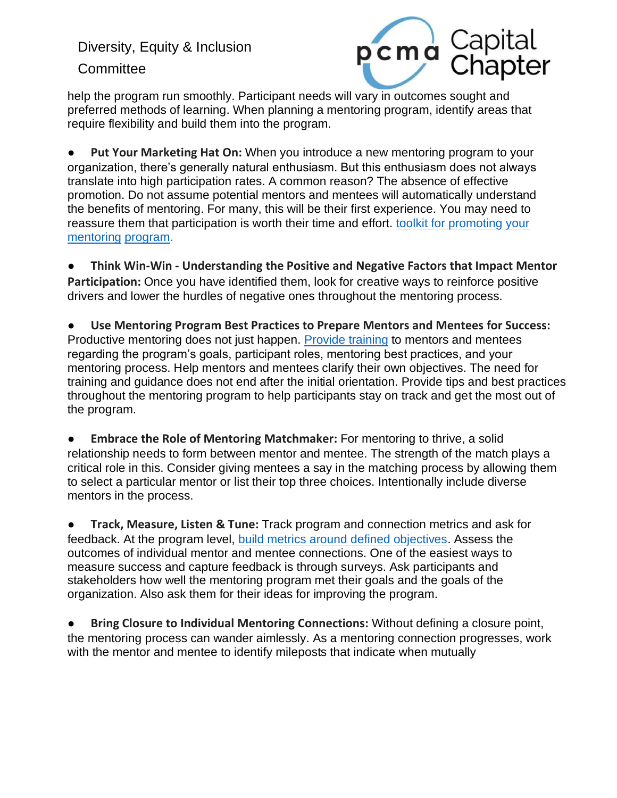Diversity, Equity & Inclusion **Committee** 



help the program run smoothly. Participant needs will vary in outcomes sought and preferred methods of learning. When planning a mentoring program, identify areas that require flexibility and build them into the program.

● **Put Your Marketing Hat On:** When you introduce a new mentoring program to your organization, there's generally natural enthusiasm. But this enthusiasm does not always translate into high participation rates. A common reason? The absence of effective promotion. Do not assume potential mentors and mentees will automatically understand the benefits of mentoring. For many, this will be their first experience. You may need to reassure them that participation is worth their time and effort, toolkit for promoting your [mentoring](https://chronus.com/resources/promoting-mentoring-program-toolkit) [program.](https://chronus.com/resources/promoting-mentoring-program-toolkit)

● **Think Win-Win - Understanding the Positive and Negative Factors that Impact Mentor Participation:** Once you have identified them, look for creative ways to reinforce positive drivers and lower the hurdles of negative ones throughout the mentoring process.

● **Use Mentoring Program Best Practices to Prepare Mentors and Mentees for Success:**  Productive mentoring does not just happen. [Provide training](https://chronus.com/how-to-start-a-mentoring-program) to mentors and mentees regarding the program's goals, participant roles, mentoring best practices, and your mentoring process. Help mentors and mentees clarify their own objectives. The need for training and guidance does not end after the initial orientation. Provide tips and best practices throughout the mentoring program to help participants stay on track and get the most out of the program.

**Embrace the Role of Mentoring Matchmaker: For mentoring to thrive, a solid** relationship needs to form between mentor and mentee. The strength of the match plays a critical role in this. Consider giving mentees a say in the matching process by allowing them to select a particular mentor or list their top three choices. Intentionally include diverse mentors in the process.

● **Track, Measure, Listen & Tune:** Track program and connection metrics and ask for feedback. At the program level, [build metrics around defined objectives.](https://chronus.com/resources/kirkpatrick-model-measuring-modern-mentoring-guide) Assess the outcomes of individual mentor and mentee connections. One of the easiest ways to measure success and capture feedback is through surveys. Ask participants and stakeholders how well the mentoring program met their goals and the goals of the organization. Also ask them for their ideas for improving the program.

● **Bring Closure to Individual Mentoring Connections:** Without defining a closure point, the mentoring process can wander aimlessly. As a mentoring connection progresses, work with the mentor and mentee to identify mileposts that indicate when mutually